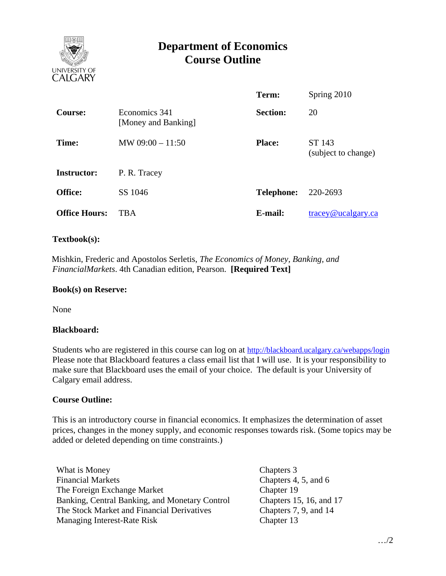

# **Department of Economics Course Outline**

|                      |                                      | Term:             | Spring 2010                   |
|----------------------|--------------------------------------|-------------------|-------------------------------|
| <b>Course:</b>       | Economics 341<br>[Money and Banking] | <b>Section:</b>   | 20                            |
| Time:                | MW $09:00 - 11:50$                   | <b>Place:</b>     | ST 143<br>(subject to change) |
| <b>Instructor:</b>   | P. R. Tracey                         |                   |                               |
| Office:              | SS 1046                              | <b>Telephone:</b> | 220-2693                      |
| <b>Office Hours:</b> | <b>TBA</b>                           | E-mail:           | $trace$ y@ucalgary.ca         |

### **Textbook(s):**

 Mishkin, Frederic and Apostolos Serletis, *The Economics of Money, Banking, and FinancialMarkets*. 4th Canadian edition, Pearson. **[Required Text]**

#### **Book(s) on Reserve:**

None

#### **Blackboard:**

Students who are registered in this course can log on at http://blackboard.ucalgary.ca/webapps/login Please note that Blackboard features a class email list that I will use. It is your responsibility to make sure that Blackboard uses the email of your choice. The default is your University of Calgary email address.

#### **Course Outline:**

This is an introductory course in financial economics. It emphasizes the determination of asset prices, changes in the money supply, and economic responses towards risk. (Some topics may be added or deleted depending on time constraints.)

What is Money Chapters 3 Financial Markets Chapters 4, 5, and 6 The Foreign Exchange Market Banking, Central Banking, and Monetary Control The Stock Market and Financial Derivatives Managing Interest-Rate Risk

Chapter 19 Chapters 15, 16, and 17 Chapters 7, 9, and 14 Chapter 13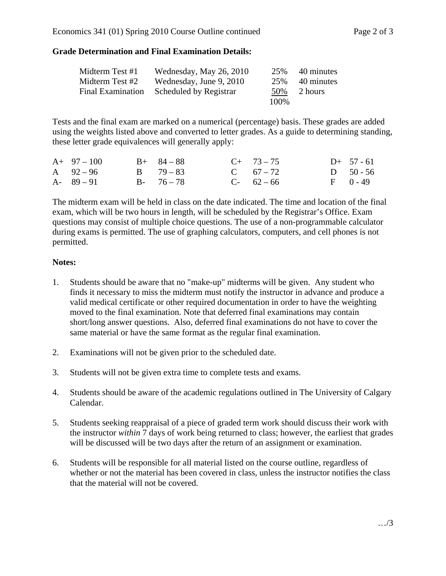## **Grade Determination and Final Examination Details:**

| Midterm Test #1          | Wednesday, May 26, 2010 | 25%   | 40 minutes |
|--------------------------|-------------------------|-------|------------|
| Midterm Test #2          | Wednesday, June 9, 2010 | 25%   | 40 minutes |
| <b>Final Examination</b> | Scheduled by Registrar  | 50%   | 2 hours    |
|                          |                         | 100\% |            |

Tests and the final exam are marked on a numerical (percentage) basis. These grades are added using the weights listed above and converted to letter grades. As a guide to determining standing, these letter grade equivalences will generally apply:

| $A+97-100$    | $B+ 84-88$    | $C+ 73-75$  | $D+ 57 - 61$ |
|---------------|---------------|-------------|--------------|
| A $92-96$     | $B = 79 - 83$ | C $67 - 72$ | D $50 - 56$  |
| $A - 89 - 91$ | $B - 76 - 78$ | $C-62-66$   | $F = 0 - 49$ |

The midterm exam will be held in class on the date indicated. The time and location of the final exam, which will be two hours in length, will be scheduled by the Registrar's Office. Exam questions may consist of multiple choice questions. The use of a non-programmable calculator during exams is permitted. The use of graphing calculators, computers, and cell phones is not permitted.

## **Notes:**

- 1. Students should be aware that no "make-up" midterms will be given. Any student who finds it necessary to miss the midterm must notify the instructor in advance and produce a valid medical certificate or other required documentation in order to have the weighting moved to the final examination. Note that deferred final examinations may contain short/long answer questions. Also, deferred final examinations do not have to cover the same material or have the same format as the regular final examination.
- 2. Examinations will not be given prior to the scheduled date.
- 3. Students will not be given extra time to complete tests and exams.
- 4. Students should be aware of the academic regulations outlined in The University of Calgary Calendar.
- 5. Students seeking reappraisal of a piece of graded term work should discuss their work with the instructor *within* 7 days of work being returned to class; however, the earliest that grades will be discussed will be two days after the return of an assignment or examination.
- 6. Students will be responsible for all material listed on the course outline, regardless of whether or not the material has been covered in class, unless the instructor notifies the class that the material will not be covered.